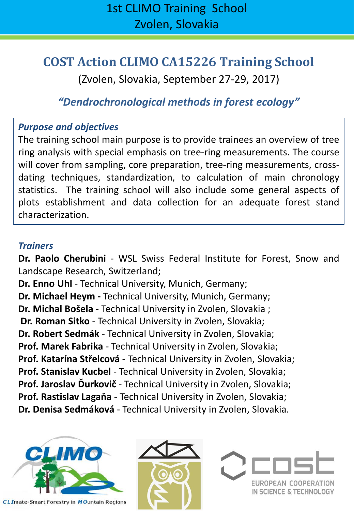# **COST Action CLIMO CA15226 Training School**

(Zvolen, Slovakia, September 27-29, 2017)

### *"Dendrochronological methods in forest ecology"*

### *Purpose and objectives*

The training school main purpose is to provide trainees an overview of tree ring analysis with special emphasis on tree-ring measurements. The course will cover from sampling, core preparation, tree-ring measurements, crossdating techniques, standardization, to calculation of main chronology statistics. The training school will also include some general aspects of plots establishment and data collection for an adequate forest stand characterization.

#### *Trainers*

**Dr. Paolo Cherubini** - WSL Swiss Federal Institute for Forest, Snow and Landscape Research, Switzerland;

**Dr. Enno Uhl** - Technical University, Munich, Germany;

**Dr. Michael Heym -** Technical University, Munich, Germany;

**Dr. Michal Bošela** - Technical University in Zvolen, Slovakia ;

**Dr. Roman Sitko** - Technical University in Zvolen, Slovakia;

**Dr. Robert Sedmák** - Technical University in Zvolen, Slovakia;

**Prof. Marek Fabrika** - Technical University in Zvolen, Slovakia;

**Prof. Katarína Střelcová** - Technical University in Zvolen, Slovakia;

**Prof. Stanislav Kucbel** - Technical University in Zvolen, Slovakia;

**Prof. Jaroslav Ďurkovič** - Technical University in Zvolen, Slovakia;

**Prof. Rastislav Lagaňa** - Technical University in Zvolen, Slovakia;

**Dr. Denisa Sedmáková** - Technical University in Zvolen, Slovakia.





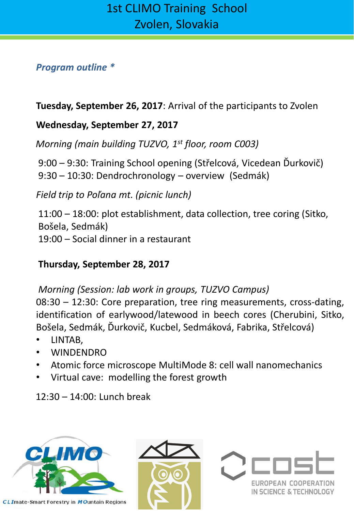#### *Program outline \**

**Tuesday, September 26, 2017**: Arrival of the participants to Zvolen

### **Wednesday, September 27, 2017**

*Morning (main building TUZVO, 1st floor, room C003)*

9:00 – 9:30: Training School opening (Střelcová, Vicedean Ďurkovič) 9:30 – 10:30: Dendrochronology – overview (Sedmák)

*Field trip to Poľana mt. (picnic lunch)*

11:00 – 18:00: plot establishment, data collection, tree coring (Sitko, Bošela, Sedmák) 19:00 – Social dinner in a restaurant

### **Thursday, September 28, 2017**

*Morning (Session: lab work in groups, TUZVO Campus)*

08:30 – 12:30: Core preparation, tree ring measurements, cross-dating, identification of earlywood/latewood in beech cores (Cherubini, Sitko, Bošela, Sedmák, Ďurkovič, Kucbel, Sedmáková, Fabrika, Střelcová)

- LINTAB,
- WINDENDRO
- Atomic force microscope MultiMode 8: cell wall nanomechanics
- Virtual cave: modelling the forest growth

12:30 – 14:00: Lunch break





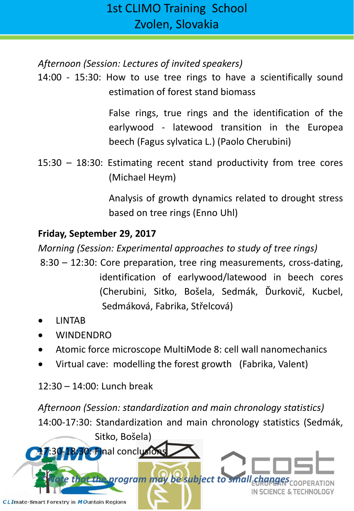*Afternoon (Session: Lectures of invited speakers)*

14:00 - 15:30: How to use tree rings to have a scientifically sound estimation of forest stand biomass

> False rings, true rings and the identification of the earlywood - latewood transition in the Europea beech (Fagus sylvatica L.) (Paolo Cherubini)

15:30 – 18:30: Estimating recent stand productivity from tree cores (Michael Heym)

> Analysis of growth dynamics related to drought stress based on tree rings (Enno Uhl)

### **Friday, September 29, 2017**

*Morning (Session: Experimental approaches to study of tree rings)*

- 8:30 12:30: Core preparation, tree ring measurements, cross-dating, identification of earlywood/latewood in beech cores (Cherubini, Sitko, Bošela, Sedmák, Ďurkovič, Kucbel, Sedmáková, Fabrika, Střelcová)
- LINTAB
- WINDENDRO
- Atomic force microscope MultiMode 8: cell wall nanomechanics
- Virtual cave: modelling the forest growth (Fabrika, Valent)

12:30 – 14:00: Lunch break

*Afternoon (Session: standardization and main chronology statistics)* 14:00-17:30: Standardization and main chronology statistics (Sedmák,

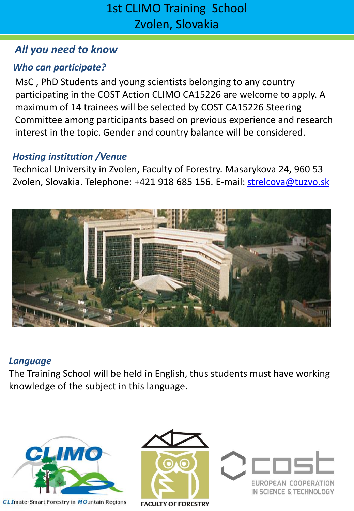### *All you need to know*

### *Who can participate?*

MsC , PhD Students and young scientists belonging to any country participating in the COST Action CLIMO CA15226 are welcome to apply. A maximum of 14 trainees will be selected by COST CA15226 Steering Committee among participants based on previous experience and research interest in the topic. Gender and country balance will be considered.

### *Hosting institution /Venue*

Technical University in Zvolen, Faculty of Forestry. Masarykova 24, 960 53 Zvolen, Slovakia. Telephone: +421 918 685 156. E-mail: [strelcova@tuzvo.sk](mailto:strelcova@tuzvo.sk)



#### *Language*

The Training School will be held in English, thus students must have working knowledge of the subject in this language.